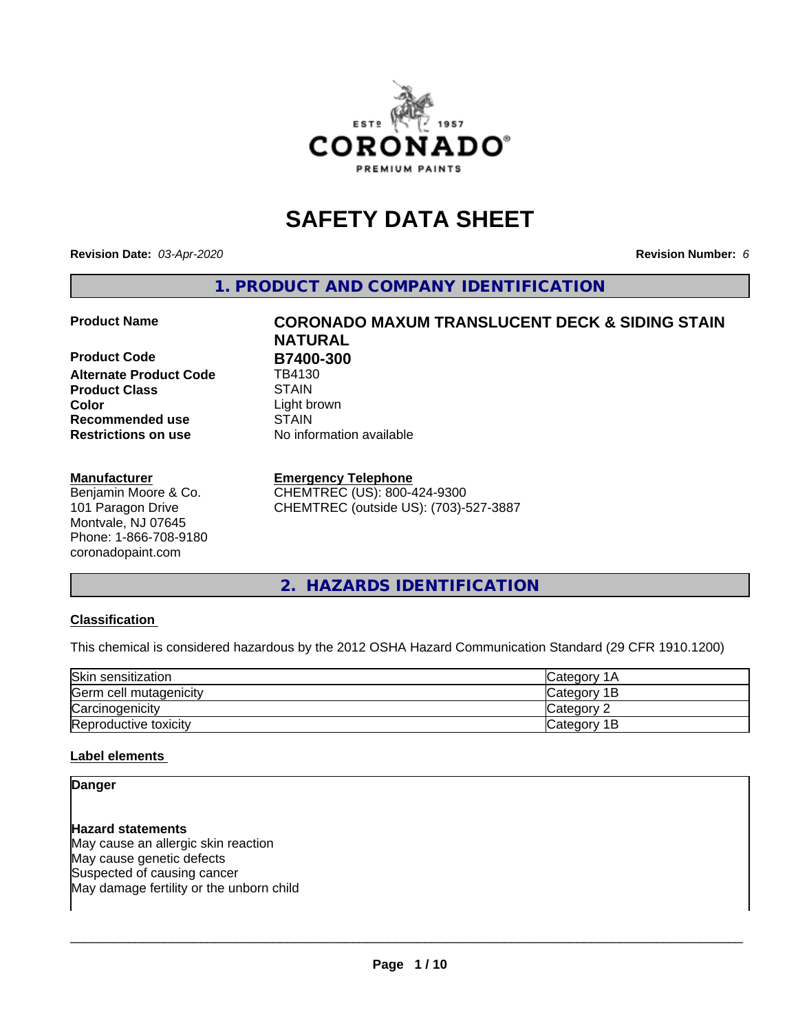

## **SAFETY DATA SHEET**

**Revision Date:** *03-Apr-2020* **Revision Number:** *6*

**1. PRODUCT AND COMPANY IDENTIFICATION**

**Product Code B7400-300**<br> **Alternate Product Code B4130 Alternate Product Code Product Class STAIN**<br> **Color** Light b **Recommended use STAIN Restrictions on use** No information available

#### **Manufacturer**

Benjamin Moore & Co. 101 Paragon Drive Montvale, NJ 07645 Phone: 1-866-708-9180 coronadopaint.com

# **Product Name CORONADO MAXUM TRANSLUCENT DECK & SIDING STAIN NATURAL** Light brown

#### **Emergency Telephone**

CHEMTREC (US): 800-424-9300 CHEMTREC (outside US): (703)-527-3887

#### **2. HAZARDS IDENTIFICATION**

#### **Classification**

This chemical is considered hazardous by the 2012 OSHA Hazard Communication Standard (29 CFR 1910.1200)

| Skin sensitization     | lCategory 1A |
|------------------------|--------------|
| Germ cell mutagenicity | Category 1B  |
| Carcinogenicity        | Category 2   |
| Reproductive toxicity  | Category 1B  |

#### **Label elements**

#### **Danger**

**Hazard statements** May cause an allergic skin reaction May cause genetic defects Suspected of causing cancer May damage fertility or the unborn child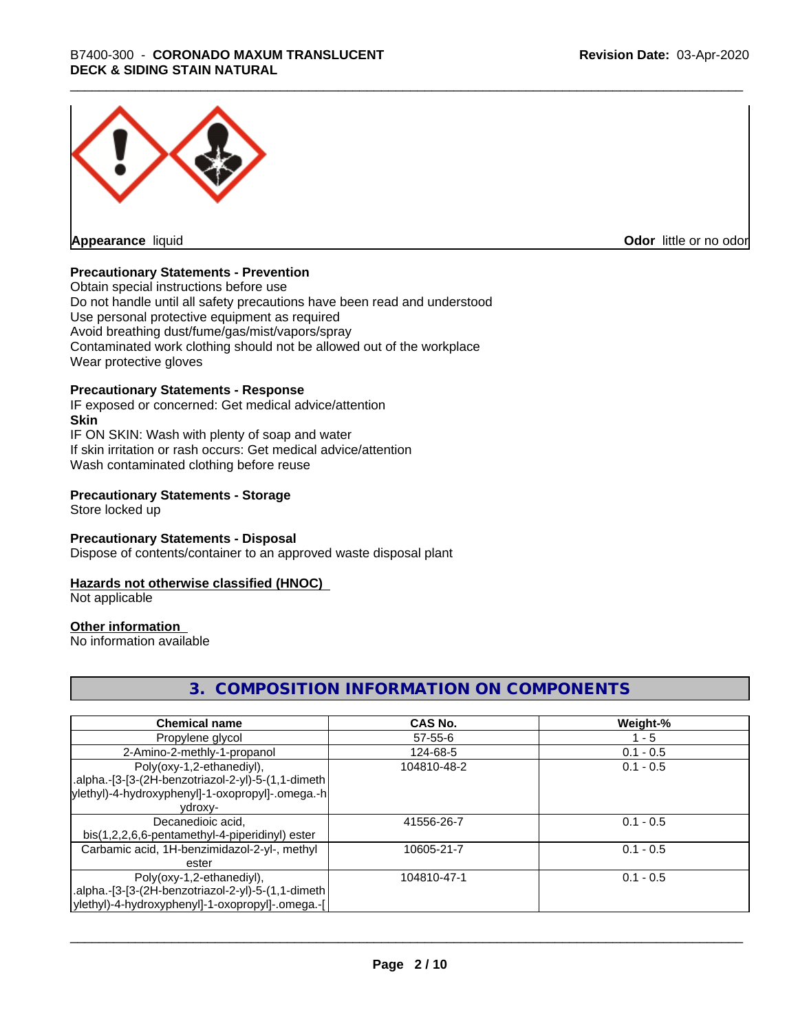

**Appearance** liquid

**Odor** little or no odor

#### **Precautionary Statements - Prevention**

Obtain special instructions before use Do not handle until all safety precautions have been read and understood Use personal protective equipment as required Avoid breathing dust/fume/gas/mist/vapors/spray Contaminated work clothing should not be allowed out of the workplace Wear protective gloves

#### **Precautionary Statements - Response**

IF exposed or concerned: Get medical advice/attention **Skin** IF ON SKIN: Wash with plenty of soap and water If skin irritation or rash occurs: Get medical advice/attention Wash contaminated clothing before reuse

#### **Precautionary Statements - Storage**

Store locked up

#### **Precautionary Statements - Disposal**

Dispose of contents/container to an approved waste disposal plant

#### **Hazards not otherwise classified (HNOC)**

Not applicable

#### **Other information**

No information available

#### **3. COMPOSITION INFORMATION ON COMPONENTS**

| <b>Chemical name</b>                               | <b>CAS No.</b> | Weight-%    |
|----------------------------------------------------|----------------|-------------|
| Propylene glycol                                   | $57 - 55 - 6$  | - 5         |
| 2-Amino-2-methly-1-propanol                        | 124-68-5       | $0.1 - 0.5$ |
| Poly(oxy-1,2-ethanediyl),                          | 104810-48-2    | $0.1 - 0.5$ |
| .alpha.-[3-[3-(2H-benzotriazol-2-yl)-5-(1,1-dimeth |                |             |
| ylethyl)-4-hydroxyphenyl]-1-oxopropyl]-.omega.-h   |                |             |
| ydroxy-                                            |                |             |
| Decanedioic acid,                                  | 41556-26-7     | $0.1 - 0.5$ |
| bis(1,2,2,6,6-pentamethyl-4-piperidinyl) ester     |                |             |
| Carbamic acid, 1H-benzimidazol-2-yl-, methyl       | 10605-21-7     | $0.1 - 0.5$ |
| ester                                              |                |             |
| Poly(oxy-1,2-ethanediyl),                          | 104810-47-1    | $0.1 - 0.5$ |
| .alpha.-[3-[3-(2H-benzotriazol-2-yl)-5-(1,1-dimeth |                |             |
| ylethyl)-4-hydroxyphenyl]-1-oxopropyl]-.omega.-[   |                |             |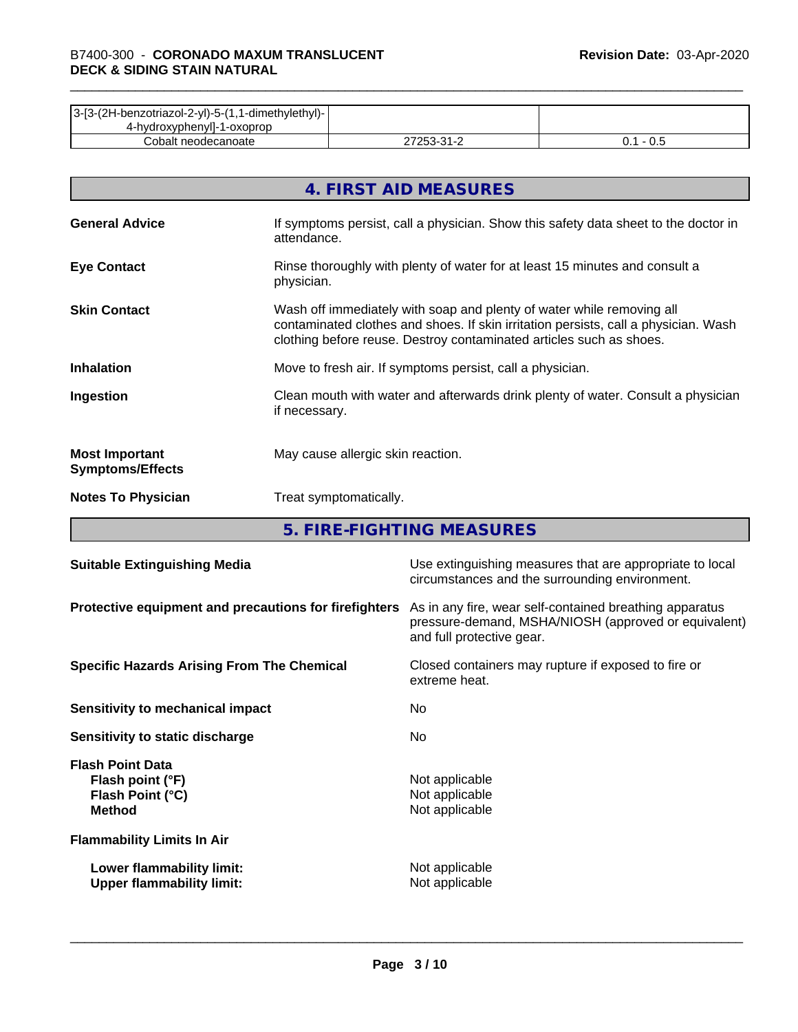| 3-[3-(2H-benzotriazol-2-yl)-5-(1,1-dimethylethyl)- |            |     |
|----------------------------------------------------|------------|-----|
| 4-hydroxyphenyll-1-oxoprop                         |            |     |
| Cobalt neodecanoate                                | 27253-31-2 | v.J |

|                                                  | 4. FIRST AID MEASURES                                                                                                                                                                                                               |
|--------------------------------------------------|-------------------------------------------------------------------------------------------------------------------------------------------------------------------------------------------------------------------------------------|
| <b>General Advice</b>                            | If symptoms persist, call a physician. Show this safety data sheet to the doctor in<br>attendance.                                                                                                                                  |
| <b>Eye Contact</b>                               | Rinse thoroughly with plenty of water for at least 15 minutes and consult a<br>physician.                                                                                                                                           |
| <b>Skin Contact</b>                              | Wash off immediately with soap and plenty of water while removing all<br>contaminated clothes and shoes. If skin irritation persists, call a physician. Wash<br>clothing before reuse. Destroy contaminated articles such as shoes. |
| <b>Inhalation</b>                                | Move to fresh air. If symptoms persist, call a physician.                                                                                                                                                                           |
| Ingestion                                        | Clean mouth with water and afterwards drink plenty of water. Consult a physician<br>if necessary.                                                                                                                                   |
| <b>Most Important</b><br><b>Symptoms/Effects</b> | May cause allergic skin reaction.                                                                                                                                                                                                   |
| <b>Notes To Physician</b>                        | Treat symptomatically.                                                                                                                                                                                                              |

**5. FIRE-FIGHTING MEASURES**

| <b>Suitable Extinguishing Media</b>                                              | Use extinguishing measures that are appropriate to local<br>circumstances and the surrounding environment.                                   |
|----------------------------------------------------------------------------------|----------------------------------------------------------------------------------------------------------------------------------------------|
| Protective equipment and precautions for firefighters                            | As in any fire, wear self-contained breathing apparatus<br>pressure-demand, MSHA/NIOSH (approved or equivalent)<br>and full protective gear. |
| <b>Specific Hazards Arising From The Chemical</b>                                | Closed containers may rupture if exposed to fire or<br>extreme heat.                                                                         |
| Sensitivity to mechanical impact                                                 | No.                                                                                                                                          |
| Sensitivity to static discharge                                                  | No.                                                                                                                                          |
| <b>Flash Point Data</b><br>Flash point (°F)<br>Flash Point (°C)<br><b>Method</b> | Not applicable<br>Not applicable<br>Not applicable                                                                                           |
| <b>Flammability Limits In Air</b>                                                |                                                                                                                                              |
| Lower flammability limit:<br><b>Upper flammability limit:</b>                    | Not applicable<br>Not applicable                                                                                                             |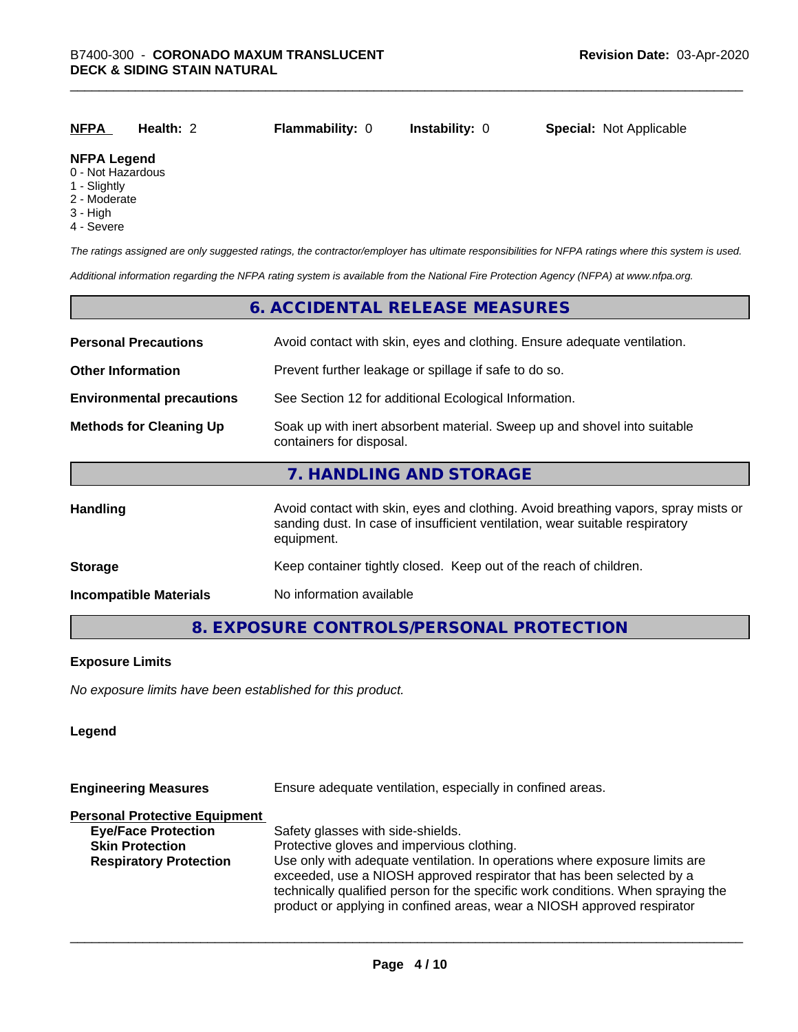| <b>NFPA</b>                                                                   | Health: 2 | <b>Flammability: 0</b> | <b>Instability: 0</b> | <b>Special: Not Applicable</b> |
|-------------------------------------------------------------------------------|-----------|------------------------|-----------------------|--------------------------------|
| <b>NFPA Legend</b><br>$\sim$ $\sim$ $\sim$ $\sim$ $\sim$ $\sim$ $\sim$ $\sim$ |           |                        |                       |                                |

#### 0 - Not Hazardous

- 1 Slightly
- 2 Moderate
- 3 High
- 4 Severe

*The ratings assigned are only suggested ratings, the contractor/employer has ultimate responsibilities for NFPA ratings where this system is used.*

*Additional information regarding the NFPA rating system is available from the National Fire Protection Agency (NFPA) at www.nfpa.org.*

#### **6. ACCIDENTAL RELEASE MEASURES**

| <b>Personal Precautions</b>      | Avoid contact with skin, eyes and clothing. Ensure adequate ventilation.                                                                                                         |  |  |
|----------------------------------|----------------------------------------------------------------------------------------------------------------------------------------------------------------------------------|--|--|
| <b>Other Information</b>         | Prevent further leakage or spillage if safe to do so.                                                                                                                            |  |  |
| <b>Environmental precautions</b> | See Section 12 for additional Ecological Information.                                                                                                                            |  |  |
| <b>Methods for Cleaning Up</b>   | Soak up with inert absorbent material. Sweep up and shovel into suitable<br>containers for disposal.                                                                             |  |  |
|                                  | 7. HANDLING AND STORAGE                                                                                                                                                          |  |  |
| <b>Handling</b>                  | Avoid contact with skin, eyes and clothing. Avoid breathing vapors, spray mists or<br>sanding dust. In case of insufficient ventilation, wear suitable respiratory<br>equipment. |  |  |
| <b>Storage</b>                   | Keep container tightly closed. Keep out of the reach of children.                                                                                                                |  |  |
| <b>Incompatible Materials</b>    | No information available                                                                                                                                                         |  |  |

#### **8. EXPOSURE CONTROLS/PERSONAL PROTECTION**

#### **Exposure Limits**

*No exposure limits have been established for this product.*

#### **Legend**

| Ensure adequate ventilation, especially in confined areas.                                                                                                                                                                                                                                                          |  |  |
|---------------------------------------------------------------------------------------------------------------------------------------------------------------------------------------------------------------------------------------------------------------------------------------------------------------------|--|--|
|                                                                                                                                                                                                                                                                                                                     |  |  |
| Safety glasses with side-shields.                                                                                                                                                                                                                                                                                   |  |  |
| Protective gloves and impervious clothing.                                                                                                                                                                                                                                                                          |  |  |
| Use only with adequate ventilation. In operations where exposure limits are<br>exceeded, use a NIOSH approved respirator that has been selected by a<br>technically qualified person for the specific work conditions. When spraying the<br>product or applying in confined areas, wear a NIOSH approved respirator |  |  |
|                                                                                                                                                                                                                                                                                                                     |  |  |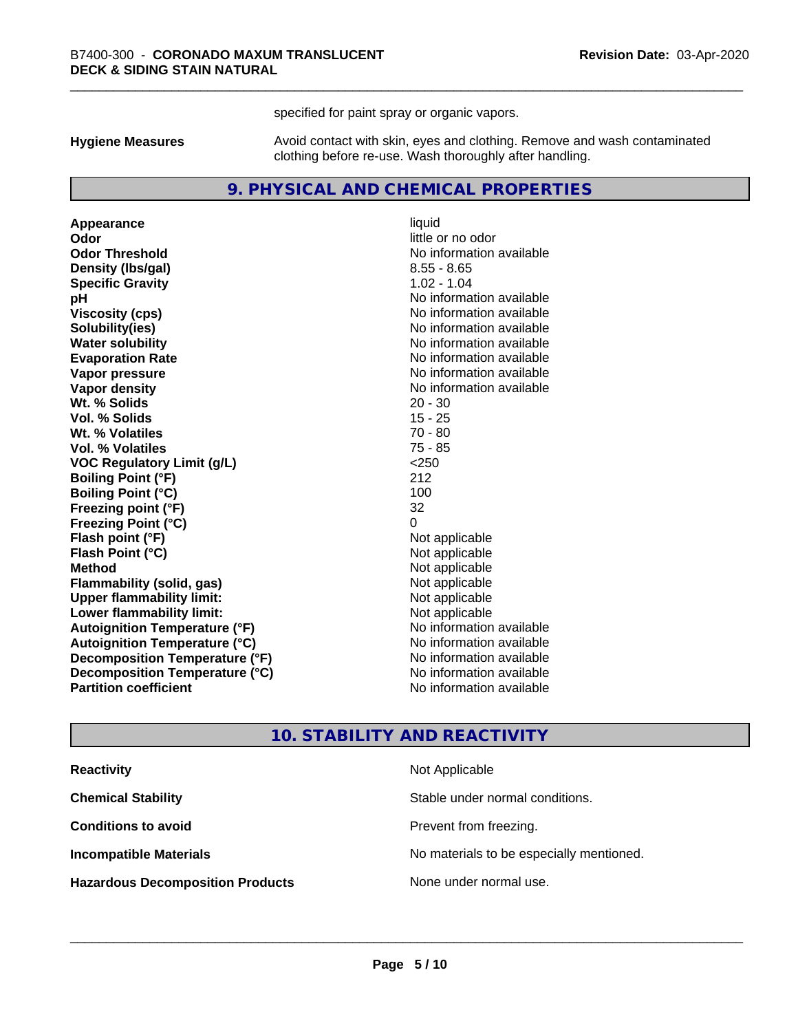specified for paint spray or organic vapors.

**Hygiene Measures** Avoid contact with skin, eyes and clothing. Remove and wash contaminated clothing before re-use. Wash thoroughly after handling.

#### **9. PHYSICAL AND CHEMICAL PROPERTIES**

**Appearance** liquid **Odor** little or no odor **Odor Threshold** No information available **Density (Ibs/gal)** 8.55 - 8.65 **Specific Gravity** 1.02 - 1.04 **pH** No information available **Viscosity (cps)** No information available **Solubility(ies)** No information available **Evaporation Rate No information available No information available Vapor pressure** No information available **Vapor density No information available No** information available **Wt. % Solids** 20 - 30 **Vol. % Solids** 15 - 25 **Wt. % Volatiles** 70 - 80 **Vol. % Volatiles** 75 - 85<br> **VOC Requiatory Limit (q/L)** 250 **VOC** Regulatory Limit (g/L) **Boiling Point (°F)** 212 **Boiling Point (°C)** 100 **Freezing point (°F)** 32 **Freezing Point (°C)**<br> **Flash point (°F)**<br> **Flash point (°F)**<br> **Point (°F)**<br> **Point (°F)**<br> **Point (°F)**<br> **Point (°F)**<br> **Point (°F) Flash point (°F)**<br> **Flash Point (°C)**<br> **Flash Point (°C)**<br> **C Flash Point (°C) Method** Not applicable **Flammability (solid, gas)** Not applicable<br> **Upper flammability limit:** Not applicable **Upper flammability limit: Lower flammability limit:** Not applicable **Autoignition Temperature (°F)** No information available **Autoignition Temperature (°C)** No information available **Decomposition Temperature (°F)** No information available **Decomposition Temperature (°C)** No information available **Partition coefficient Contract Contract Contract Contract Contract Contract Contract Contract Contract Contract Contract Contract Contract Contract Contract Contract Contract Contract Contract Contract Contract Contract** 

**No information available** 

#### **10. STABILITY AND REACTIVITY**

| <b>Reactivity</b>                       | Not Applicable                           |
|-----------------------------------------|------------------------------------------|
| <b>Chemical Stability</b>               | Stable under normal conditions.          |
| <b>Conditions to avoid</b>              | Prevent from freezing.                   |
| <b>Incompatible Materials</b>           | No materials to be especially mentioned. |
| <b>Hazardous Decomposition Products</b> | None under normal use.                   |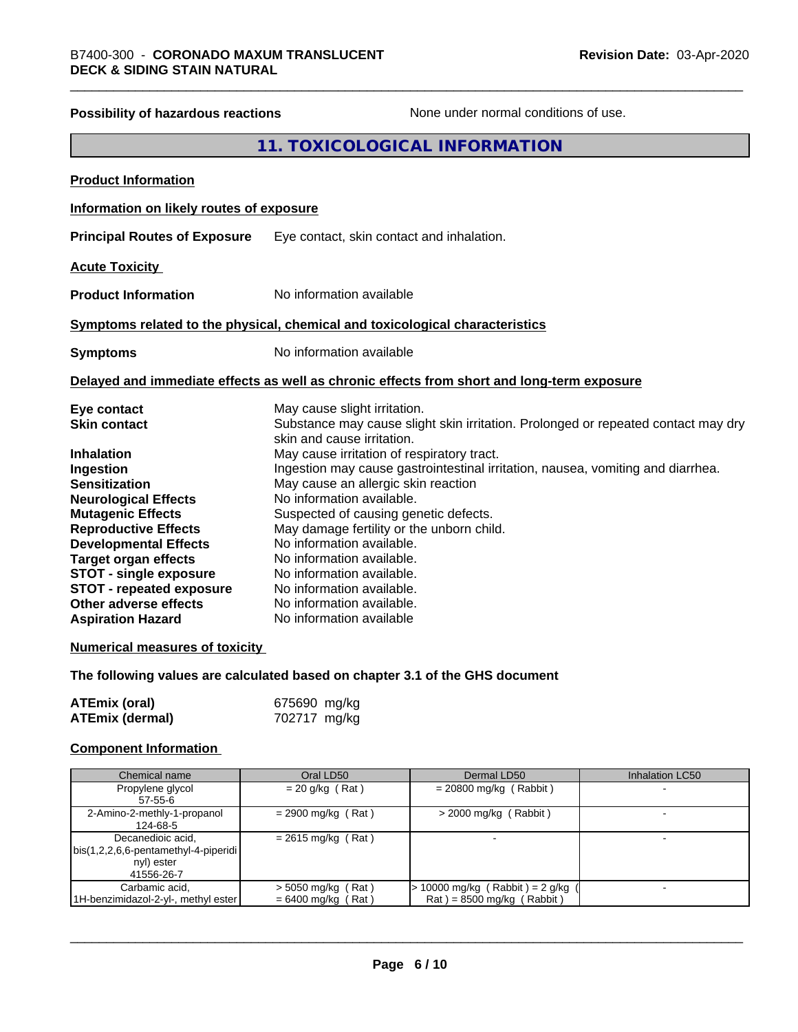| <b>Possibility of hazardous reactions</b> | None under normal conditions of use.                                                                            |
|-------------------------------------------|-----------------------------------------------------------------------------------------------------------------|
|                                           | 11. TOXICOLOGICAL INFORMATION                                                                                   |
| <b>Product Information</b>                |                                                                                                                 |
| Information on likely routes of exposure  |                                                                                                                 |
| <b>Principal Routes of Exposure</b>       | Eye contact, skin contact and inhalation.                                                                       |
| <b>Acute Toxicity</b>                     |                                                                                                                 |
| <b>Product Information</b>                | No information available                                                                                        |
|                                           | Symptoms related to the physical, chemical and toxicological characteristics                                    |
| <b>Symptoms</b>                           | No information available                                                                                        |
|                                           | Delayed and immediate effects as well as chronic effects from short and long-term exposure                      |
| Eye contact                               | May cause slight irritation.                                                                                    |
| <b>Skin contact</b>                       | Substance may cause slight skin irritation. Prolonged or repeated contact may dry<br>skin and cause irritation. |
| Inhalation                                | May cause irritation of respiratory tract.                                                                      |
| <b>Ingestion</b>                          | Ingestion may cause gastrointestinal irritation, nausea, vomiting and diarrhea.                                 |
| <b>Sensitization</b>                      | May cause an allergic skin reaction                                                                             |
| <b>Neurological Effects</b>               | No information available.                                                                                       |
| <b>Mutagenic Effects</b>                  | Suspected of causing genetic defects.                                                                           |
| <b>Reproductive Effects</b>               | May damage fertility or the unborn child.                                                                       |
| <b>Developmental Effects</b>              | No information available.                                                                                       |
| <b>Target organ effects</b>               | No information available.                                                                                       |
| <b>STOT - single exposure</b>             | No information available.                                                                                       |
| <b>STOT - repeated exposure</b>           | No information available.                                                                                       |
| Other adverse effects                     | No information available.                                                                                       |
| <b>Aspiration Hazard</b>                  | No information available                                                                                        |
| <b>Numerical measures of toxicity</b>     |                                                                                                                 |
|                                           |                                                                                                                 |

## **The following values are calculated based on chapter 3.1 of the GHS document**

| <b>ATEmix (oral)</b>   | 675690 mg/kg |
|------------------------|--------------|
| <b>ATEmix (dermal)</b> | 702717 mg/kg |

### **Component Information**

| Chemical name                                                                             | Oral LD50                                    | Dermal LD50                                                          | <b>Inhalation LC50</b> |
|-------------------------------------------------------------------------------------------|----------------------------------------------|----------------------------------------------------------------------|------------------------|
| Propylene glycol<br>57-55-6                                                               | $= 20$ g/kg (Rat)                            | $= 20800$ mg/kg (Rabbit)                                             |                        |
| 2-Amino-2-methly-1-propanol<br>124-68-5                                                   | $= 2900$ mg/kg (Rat)                         | $>$ 2000 mg/kg (Rabbit)                                              |                        |
| Decanedioic acid,<br>  bis(1,2,2,6,6-pentamethyl-4-piperidi  <br>nyl) ester<br>41556-26-7 | $= 2615$ mg/kg (Rat)                         |                                                                      |                        |
| Carbamic acid,<br>1H-benzimidazol-2-yl-, methyl ester                                     | $>$ 5050 mg/kg (Rat)<br>$= 6400$ mg/kg (Rat) | $\cdot$ 10000 mg/kg (Rabbit) = 2 g/kg<br>$Rat$ = 8500 mg/kg (Rabbit) |                        |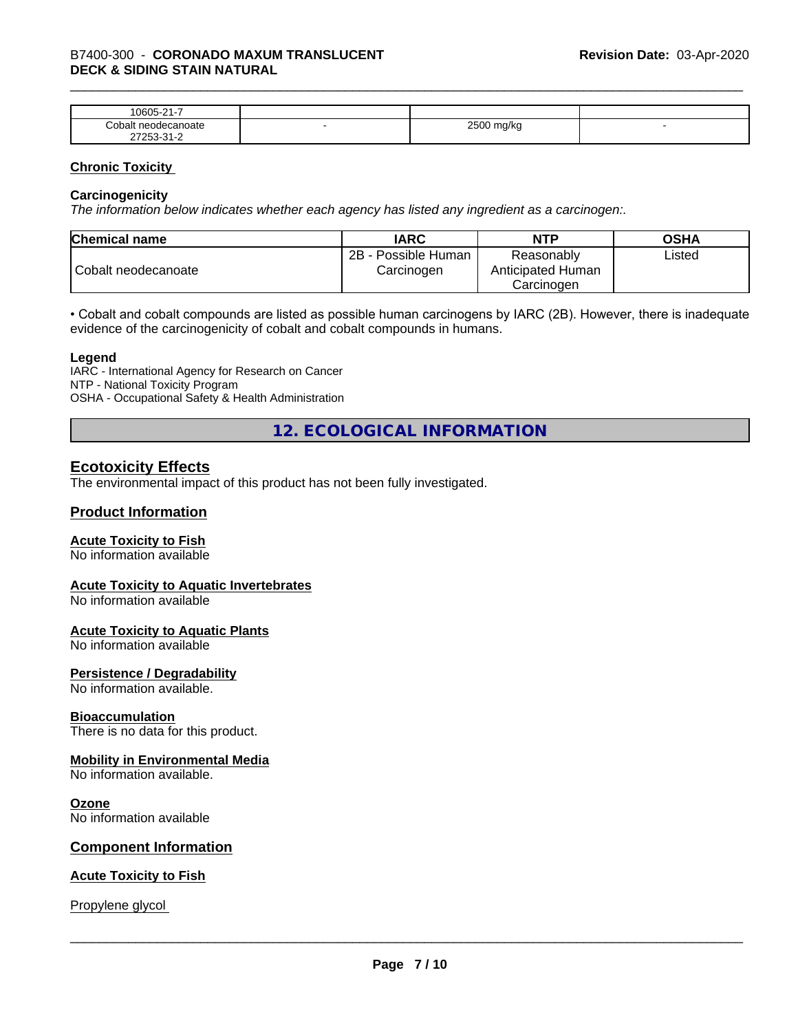| $\sim$<br>$\sim$ $\sim$ $\sim$<br>-<br>۱۲۱۱۰<br>.<br>. .           |   |                        |  |
|--------------------------------------------------------------------|---|------------------------|--|
| `∩h⊾<br>าoate                                                      | - | 0.500<br>W<br>- -<br>ີ |  |
| $\sim$<br>- ה<br>$ -$<br>$\sim$ $\sim$ $\sim$ $\sim$ $\sim$ $\sim$ |   |                        |  |

#### **Chronic Toxicity**

#### **Carcinogenicity**

*The information below indicateswhether each agency has listed any ingredient as a carcinogen:.*

| <b>Chemical name</b> | <b>IARC</b>                              | <b>NTP</b>                                    | <b>OSHA</b> |
|----------------------|------------------------------------------|-----------------------------------------------|-------------|
| Cobalt neodecanoate  | $2B -$<br>- Possible Human<br>Carcinogen | Reasonably<br>Anticipated Human<br>Carcinogen | Listed      |

• Cobalt and cobalt compounds are listed as possible human carcinogens by IARC (2B). However, there is inadequate evidence of the carcinogenicity of cobalt and cobalt compounds in humans.

#### **Legend**

IARC - International Agency for Research on Cancer NTP - National Toxicity Program OSHA - Occupational Safety & Health Administration

**12. ECOLOGICAL INFORMATION**

#### **Ecotoxicity Effects**

The environmental impact of this product has not been fully investigated.

#### **Product Information**

#### **Acute Toxicity to Fish**

No information available

#### **Acute Toxicity to Aquatic Invertebrates**

No information available

#### **Acute Toxicity to Aquatic Plants**

No information available

#### **Persistence / Degradability**

No information available.

#### **Bioaccumulation**

There is no data for this product.

#### **Mobility in Environmental Media**

No information available.

#### **Ozone**

No information available

#### **Component Information**

#### **Acute Toxicity to Fish**

Propylene glycol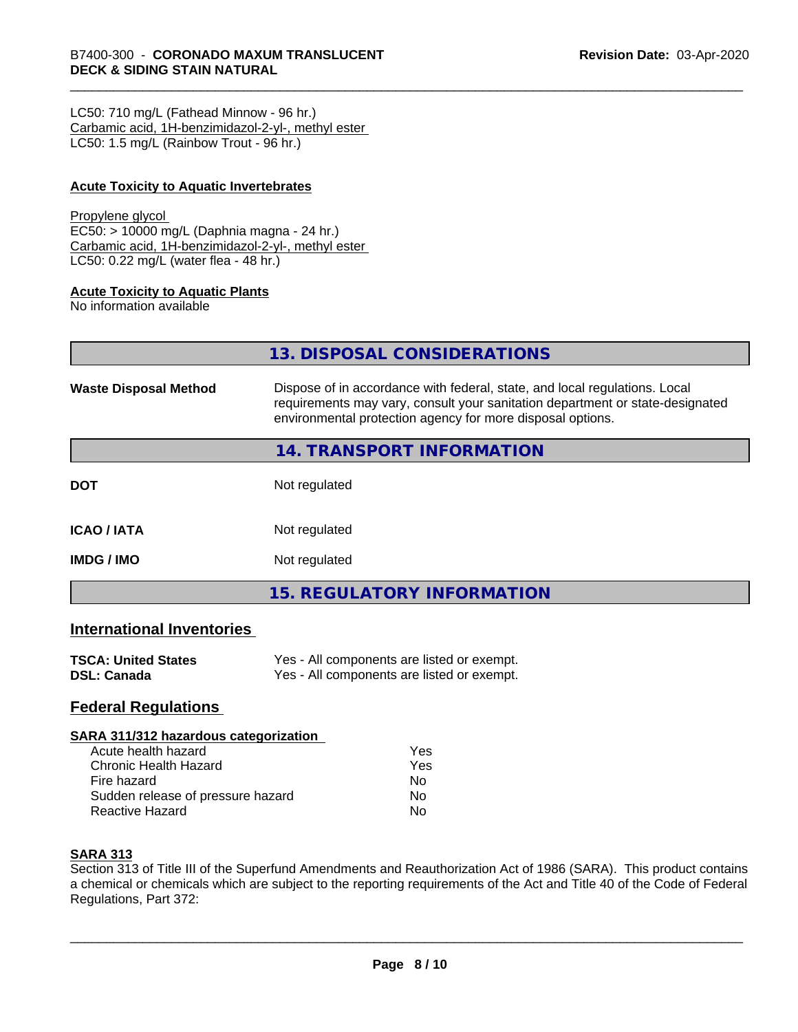LC50: 710 mg/L (Fathead Minnow - 96 hr.) Carbamic acid, 1H-benzimidazol-2-yl-, methyl ester LC50: 1.5 mg/L (Rainbow Trout - 96 hr.)

#### **Acute Toxicity to Aquatic Invertebrates**

#### Propylene glycol

EC50: > 10000 mg/L (Daphnia magna - 24 hr.) Carbamic acid, 1H-benzimidazol-2-yl-, methyl ester LC50: 0.22 mg/L (water flea - 48 hr.)

#### **Acute Toxicity to Aquatic Plants**

No information available

**13. DISPOSAL CONSIDERATIONS**

| <b>Waste Disposal Method</b> | Dispose of in accordance with federal, state, and local regulations. Local<br>requirements may vary, consult your sanitation department or state-designated<br>environmental protection agency for more disposal options. |  |
|------------------------------|---------------------------------------------------------------------------------------------------------------------------------------------------------------------------------------------------------------------------|--|
|                              | <b>14. TRANSPORT INFORMATION</b>                                                                                                                                                                                          |  |
| <b>DOT</b>                   | Not regulated                                                                                                                                                                                                             |  |
| <b>ICAO/IATA</b>             | Not regulated                                                                                                                                                                                                             |  |
| <b>IMDG/IMO</b>              | Not regulated                                                                                                                                                                                                             |  |
|                              | 15. REGULATORY INFORMATION                                                                                                                                                                                                |  |

#### **International Inventories**

| <b>TSCA: United States</b> | Yes - All components are listed or exempt. |
|----------------------------|--------------------------------------------|
| DSL: Canada                | Yes - All components are listed or exempt. |

#### **Federal Regulations**

#### **SARA 311/312 hazardous categorization**

| Acute health hazard               | Yes |  |
|-----------------------------------|-----|--|
| Chronic Health Hazard             | Yes |  |
| Fire hazard                       | N٥  |  |
| Sudden release of pressure hazard | N٥  |  |
| <b>Reactive Hazard</b>            | N٥  |  |

#### **SARA 313**

Section 313 of Title III of the Superfund Amendments and Reauthorization Act of 1986 (SARA). This product contains a chemical or chemicals which are subject to the reporting requirements of the Act and Title 40 of the Code of Federal Regulations, Part 372: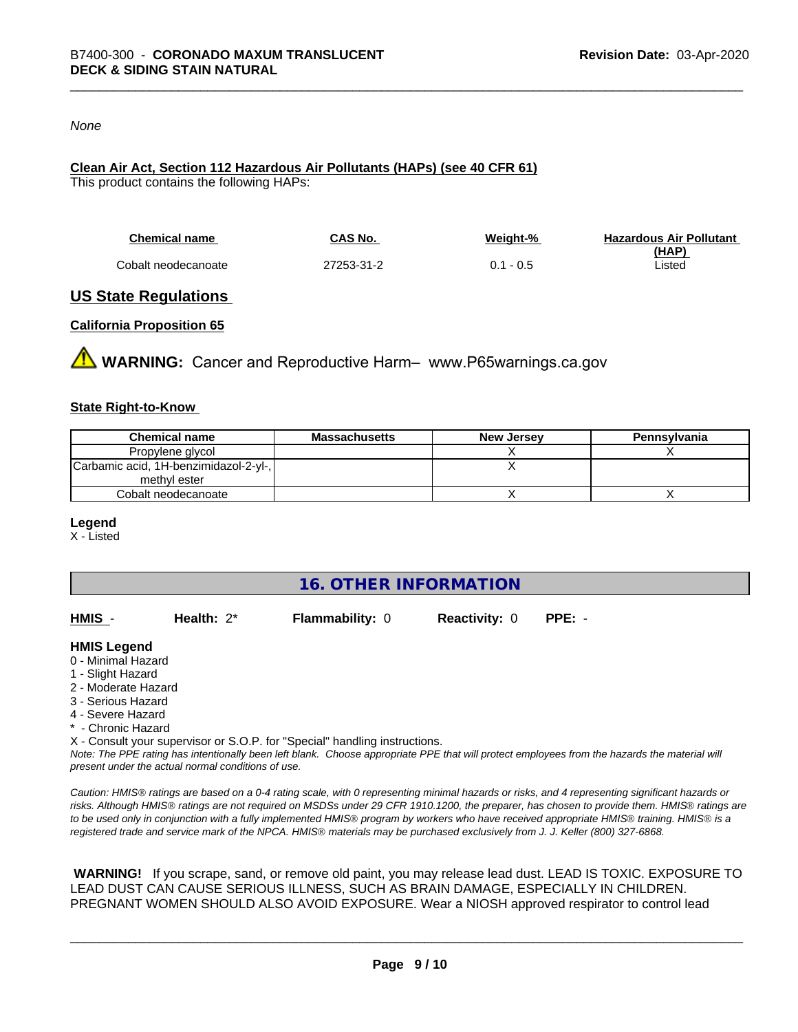#### *None*

#### **Clean Air Act,Section 112 Hazardous Air Pollutants (HAPs) (see 40 CFR 61)**

This product contains the following HAPs:

| <b>Chemical name</b> | CAS No.    | Weight-%    | <b>Hazardous Air Pollutant</b> |
|----------------------|------------|-------------|--------------------------------|
|                      |            |             | (HAP)                          |
| Cobalt neodecanoate  | 27253-31-2 | $0.1 - 0.5$ | Listed                         |

#### **US State Regulations**

#### **California Proposition 65**

**WARNING:** Cancer and Reproductive Harm– www.P65warnings.ca.gov

#### **State Right-to-Know**

| <b>Chemical name</b>                  | Massachusetts | <b>New Jersey</b> | Pennsylvania |
|---------------------------------------|---------------|-------------------|--------------|
| Propylene glycol                      |               |                   |              |
| Carbamic acid, 1H-benzimidazol-2-yl-, |               |                   |              |
| methyl ester                          |               |                   |              |
| Cobalt neodecanoate                   |               |                   |              |

#### **Legend**

X - Listed

**16. OTHER INFORMATION**

| HMIS | Health: $2^*$ | <b>Flammability: 0</b> | <b>Reactivity: 0</b> | PPE: - |
|------|---------------|------------------------|----------------------|--------|
|      |               |                        |                      |        |

#### **HMIS Legend**

- 0 Minimal Hazard
- 1 Slight Hazard
- 2 Moderate Hazard
- 3 Serious Hazard
- 4 Severe Hazard
- \* Chronic Hazard
- X Consult your supervisor or S.O.P. for "Special" handling instructions.

*Note: The PPE rating has intentionally been left blank. Choose appropriate PPE that will protect employees from the hazards the material will present under the actual normal conditions of use.*

*Caution: HMISÒ ratings are based on a 0-4 rating scale, with 0 representing minimal hazards or risks, and 4 representing significant hazards or risks. Although HMISÒ ratings are not required on MSDSs under 29 CFR 1910.1200, the preparer, has chosen to provide them. HMISÒ ratings are to be used only in conjunction with a fully implemented HMISÒ program by workers who have received appropriate HMISÒ training. HMISÒ is a registered trade and service mark of the NPCA. HMISÒ materials may be purchased exclusively from J. J. Keller (800) 327-6868.*

 **WARNING!** If you scrape, sand, or remove old paint, you may release lead dust. LEAD IS TOXIC. EXPOSURE TO LEAD DUST CAN CAUSE SERIOUS ILLNESS, SUCH AS BRAIN DAMAGE, ESPECIALLY IN CHILDREN. PREGNANT WOMEN SHOULD ALSO AVOID EXPOSURE.Wear a NIOSH approved respirator to control lead